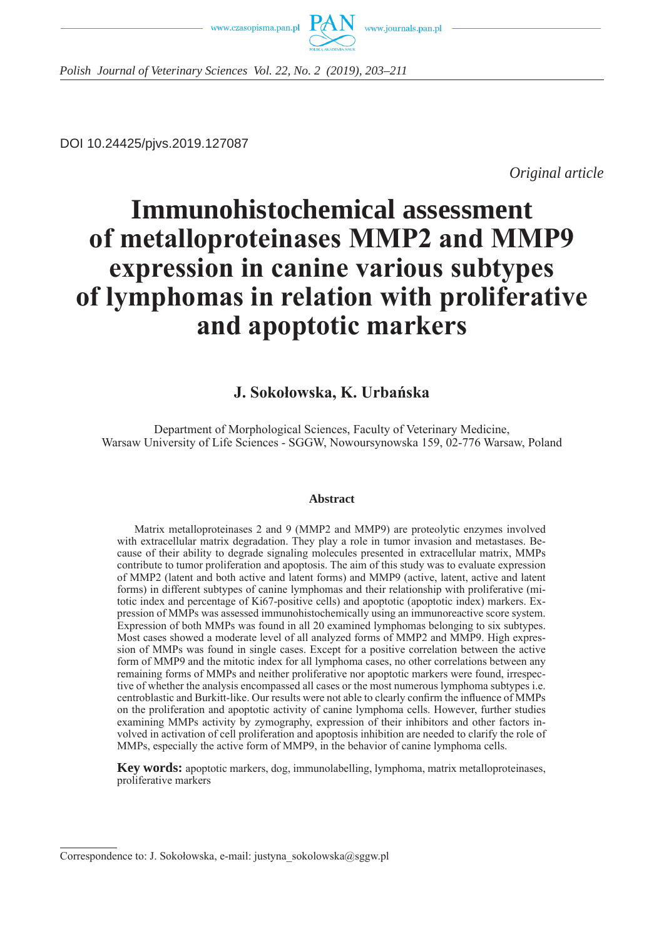



*Polish Journal of Veterinary Sciences Vol. 22, No. 2 (2019), 203–211*

DOI 10.24425/pjvs.2019.127087

*Original article*

# **Immunohistochemical assessment of metalloproteinases MMP2 and MMP9 expression in canine various subtypes of lymphomas in relation with proliferative and apoptotic markers**

## **J. Sokołowska, K. Urbańska**

Department of Morphological Sciences, Faculty of Veterinary Medicine, Warsaw University of Life Sciences - SGGW, Nowoursynowska 159, 02-776 Warsaw, Poland

#### **Abstract**

Matrix metalloproteinases 2 and 9 (MMP2 and MMP9) are proteolytic enzymes involved with extracellular matrix degradation. They play a role in tumor invasion and metastases. Because of their ability to degrade signaling molecules presented in extracellular matrix, MMPs contribute to tumor proliferation and apoptosis. The aim of this study was to evaluate expression of MMP2 (latent and both active and latent forms) and MMP9 (active, latent, active and latent forms) in different subtypes of canine lymphomas and their relationship with proliferative (mitotic index and percentage of Ki67-positive cells) and apoptotic (apoptotic index) markers. Expression of MMPs was assessed immunohistochemically using an immunoreactive score system. Expression of both MMPs was found in all 20 examined lymphomas belonging to six subtypes. Most cases showed a moderate level of all analyzed forms of MMP2 and MMP9. High expression of MMPs was found in single cases. Except for a positive correlation between the active form of MMP9 and the mitotic index for all lymphoma cases, no other correlations between any remaining forms of MMPs and neither proliferative nor apoptotic markers were found, irrespective of whether the analysis encompassed all cases or the most numerous lymphoma subtypes i.e. centroblastic and Burkitt-like. Our results were not able to clearly confirm the influence of MMPs on the proliferation and apoptotic activity of canine lymphoma cells. However, further studies examining MMPs activity by zymography, expression of their inhibitors and other factors involved in activation of cell proliferation and apoptosis inhibition are needed to clarify the role of MMPs, especially the active form of MMP9, in the behavior of canine lymphoma cells.

**Key words:** apoptotic markers, dog, immunolabelling, lymphoma, matrix metalloproteinases, proliferative markers

Correspondence to: J. Sokołowska, e-mail: justyna\_sokolowska@sggw.pl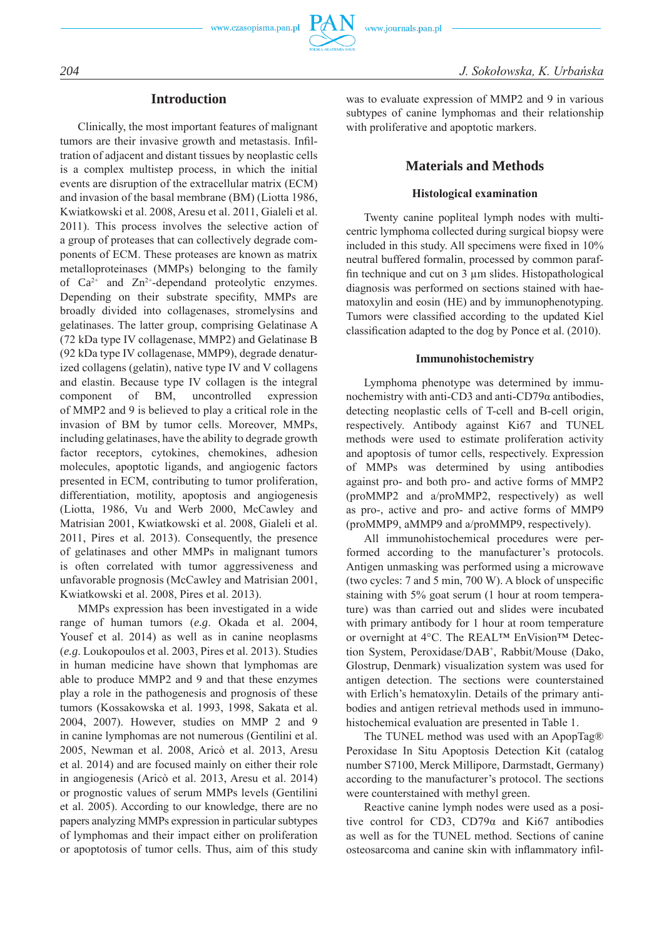

## **Introduction**

Clinically, the most important features of malignant tumors are their invasive growth and metastasis. Infiltration of adjacent and distant tissues by neoplastic cells is a complex multistep process, in which the initial events are disruption of the extracellular matrix (ECM) and invasion of the basal membrane (BM) (Liotta 1986, Kwiatkowski et al. 2008, Aresu et al. 2011, Gialeli et al. 2011). This process involves the selective action of a group of proteases that can collectively degrade components of ECM. These proteases are known as matrix metalloproteinases (MMPs) belonging to the family of  $Ca^{2+}$  and  $Zn^{2+}$ -dependand proteolytic enzymes. Depending on their substrate specifity, MMPs are broadly divided into collagenases, stromelysins and gelatinases. The latter group, comprising Gelatinase A (72 kDa type IV collagenase, MMP2) and Gelatinase B (92 kDa type IV collagenase, MMP9), degrade denaturized collagens (gelatin), native type IV and V collagens and elastin. Because type IV collagen is the integral component of BM, uncontrolled expression of MMP2 and 9 is believed to play a critical role in the invasion of BM by tumor cells. Moreover, MMPs, including gelatinases, have the ability to degrade growth factor receptors, cytokines, chemokines, adhesion molecules, apoptotic ligands, and angiogenic factors presented in ECM, contributing to tumor proliferation, differentiation, motility, apoptosis and angiogenesis (Liotta, 1986, Vu and Werb 2000, McCawley and Matrisian 2001, Kwiatkowski et al. 2008, Gialeli et al. 2011, Pires et al. 2013). Consequently, the presence of gelatinases and other MMPs in malignant tumors is often correlated with tumor aggressiveness and unfavorable prognosis (McCawley and Matrisian 2001, Kwiatkowski et al. 2008, Pires et al. 2013).

MMPs expression has been investigated in a wide range of human tumors (*e.g*. Okada et al. 2004, Yousef et al. 2014) as well as in canine neoplasms (*e.g*. Loukopoulos et al. 2003, Pires et al. 2013). Studies in human medicine have shown that lymphomas are able to produce MMP2 and 9 and that these enzymes play a role in the pathogenesis and prognosis of these tumors (Kossakowska et al. 1993, 1998, Sakata et al. 2004, 2007). However, studies on MMP 2 and 9 in canine lymphomas are not numerous (Gentilini et al. 2005, Newman et al. 2008, Aricò et al. 2013, Aresu et al. 2014) and are focused mainly on either their role in angiogenesis (Aricò et al. 2013, Aresu et al. 2014) or prognostic values of serum MMPs levels (Gentilini et al. 2005). According to our knowledge, there are no papers analyzing MMPs expression in particular subtypes of lymphomas and their impact either on proliferation or apoptotosis of tumor cells. Thus, aim of this study was to evaluate expression of MMP2 and 9 in various subtypes of canine lymphomas and their relationship with proliferative and apoptotic markers.

## **Materials and Methods**

#### **Histological examination**

Twenty canine popliteal lymph nodes with multicentric lymphoma collected during surgical biopsy were included in this study. All specimens were fixed in 10% neutral buffered formalin, processed by common paraffin technique and cut on 3 µm slides. Histopathological diagnosis was performed on sections stained with haematoxylin and eosin (HE) and by immunophenotyping. Tumors were classified according to the updated Kiel classification adapted to the dog by Ponce et al. (2010).

#### **Immunohistochemistry**

Lymphoma phenotype was determined by immunochemistry with anti-CD3 and anti-CD79α antibodies, detecting neoplastic cells of T-cell and B-cell origin, respectively. Antibody against Ki67 and TUNEL methods were used to estimate proliferation activity and apoptosis of tumor cells, respectively. Expression of MMPs was determined by using antibodies against pro- and both pro- and active forms of MMP2 (proMMP2 and a/proMMP2, respectively) as well as pro-, active and pro- and active forms of MMP9 (proMMP9, aMMP9 and a/proMMP9, respectively).

All immunohistochemical procedures were performed according to the manufacturer's protocols. Antigen unmasking was performed using a microwave (two cycles: 7 and 5 min, 700 W). A block of unspecific staining with 5% goat serum (1 hour at room temperature) was than carried out and slides were incubated with primary antibody for 1 hour at room temperature or overnight at 4°C. The REAL™ EnVision™ Detection System, Peroxidase/DAB<sup>+</sup> , Rabbit/Mouse (Dako, Glostrup, Denmark) visualization system was used for antigen detection. The sections were counterstained with Erlich's hematoxylin. Details of the primary antibodies and antigen retrieval methods used in immunohistochemical evaluation are presented in Table 1.

The TUNEL method was used with an ApopTag® Peroxidase In Situ Apoptosis Detection Kit (catalog number S7100, Merck Millipore, Darmstadt, Germany) according to the manufacturer's protocol. The sections were counterstained with methyl green.

Reactive canine lymph nodes were used as a positive control for CD3, CD79α and Ki67 antibodies as well as for the TUNEL method. Sections of canine osteosarcoma and canine skin with inflammatory infil-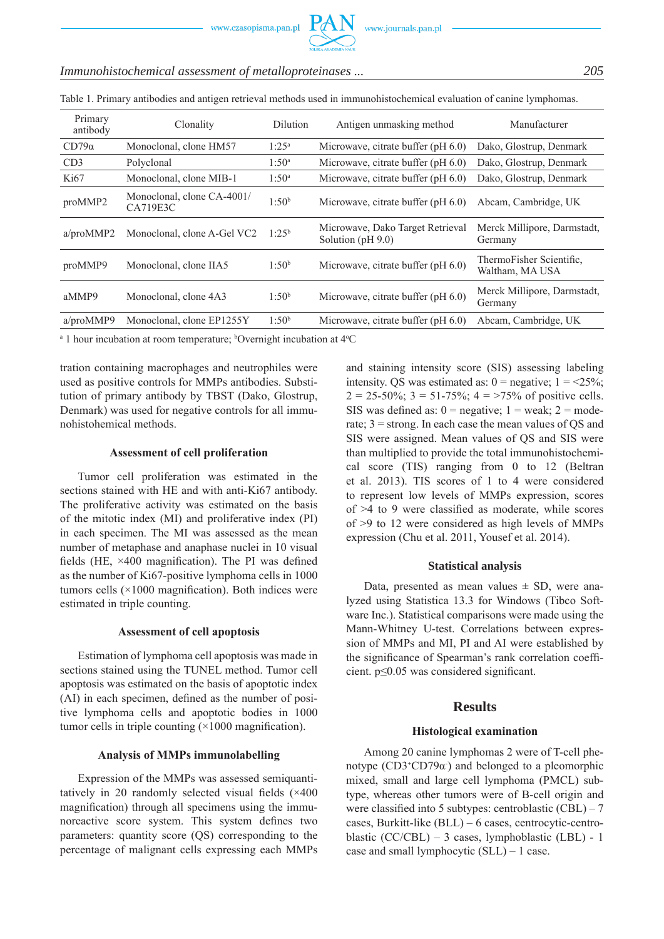| Primary<br>antibody | Clonality                                     | Dilution          | Antigen unmasking method                                | Manufacturer                                |
|---------------------|-----------------------------------------------|-------------------|---------------------------------------------------------|---------------------------------------------|
| $CD79\alpha$        | Monoclonal, clone HM57                        | $1:25^a$          | Microwave, citrate buffer (pH 6.0)                      | Dako, Glostrup, Denmark                     |
| CD <sub>3</sub>     | Polyclonal                                    | $1:50^{\rm a}$    | Microwave, citrate buffer (pH 6.0)                      | Dako, Glostrup, Denmark                     |
| Ki67                | Monoclonal, clone MIB-1                       | $1:50^a$          | Microwave, citrate buffer $(pH 6.0)$                    | Dako, Glostrup, Denmark                     |
| proMMP2             | Monoclonal, clone CA-4001/<br><b>CA719E3C</b> | 1:50 <sup>b</sup> | Microwave, citrate buffer $(pH 6.0)$                    | Abcam, Cambridge, UK                        |
| a/proMMP2           | Monoclonal, clone A-Gel VC2                   | $1:25^{b}$        | Microwave, Dako Target Retrieval<br>Solution $(pH 9.0)$ | Merck Millipore, Darmstadt,<br>Germany      |
| proMMP9             | Monoclonal, clone IIA5                        | 1:50 <sup>b</sup> | Microwave, citrate buffer (pH 6.0)                      | ThermoFisher Scientific.<br>Waltham, MA USA |
| aMMP9               | Monoclonal, clone 4A3                         | 1:50 <sup>b</sup> | Microwave, citrate buffer (pH 6.0)                      | Merck Millipore, Darmstadt,<br>Germany      |
| a/proMMP9           | Monoclonal, clone EP1255Y                     | 1:50 <sup>b</sup> | Microwave, citrate buffer (pH 6.0)                      | Abcam, Cambridge, UK                        |
|                     |                                               |                   |                                                         |                                             |

## *Immunohistochemical assessment of metalloproteinases ... 205*

Table 1. Primary antibodies and antigen retrieval methods used in immunohistochemical evaluation of canine lymphomas.

<sup>a</sup> 1 hour incubation at room temperature; <sup>b</sup>Overnight incubation at 4°C

tration containing macrophages and neutrophiles were used as positive controls for MMPs antibodies. Substitution of primary antibody by TBST (Dako, Glostrup, Denmark) was used for negative controls for all immunohistohemical methods.

## **Assessment of cell proliferation**

Tumor cell proliferation was estimated in the sections stained with HE and with anti-Ki67 antibody. The proliferative activity was estimated on the basis of the mitotic index (MI) and proliferative index (PI) in each specimen. The MI was assessed as the mean number of metaphase and anaphase nuclei in 10 visual fields (HE, ×400 magnification). The PI was defined as the number of Ki67-positive lymphoma cells in 1000 tumors cells  $(\times 1000$  magnification). Both indices were estimated in triple counting.

#### **Assessment of cell apoptosis**

Estimation of lymphoma cell apoptosis was made in sections stained using the TUNEL method. Tumor cell apoptosis was estimated on the basis of apoptotic index (AI) in each specimen, defined as the number of positive lymphoma cells and apoptotic bodies in 1000 tumor cells in triple counting  $(\times 1000)$  magnification).

#### **Analysis of MMPs immunolabelling**

Expression of the MMPs was assessed semiquantitatively in 20 randomly selected visual fields (×400 magnification) through all specimens using the immunoreactive score system. This system defines two parameters: quantity score (QS) corresponding to the percentage of malignant cells expressing each MMPs and staining intensity score (SIS) assessing labeling intensity. QS was estimated as:  $0 =$  negative;  $1 =$  <25%;  $2 = 25-50\%$ ;  $3 = 51-75\%$ ;  $4 = 75\%$  of positive cells. SIS was defined as:  $0 =$  negative;  $1 =$  weak;  $2 =$  moderate; 3 = strong. In each case the mean values of QS and SIS were assigned. Mean values of QS and SIS were than multiplied to provide the total immunohistochemical score (TIS) ranging from 0 to 12 (Beltran et al. 2013). TIS scores of 1 to 4 were considered to represent low levels of MMPs expression, scores of >4 to 9 were classified as moderate, while scores of >9 to 12 were considered as high levels of MMPs expression (Chu et al. 2011, Yousef et al. 2014).

## **Statistical analysis**

Data, presented as mean values  $\pm$  SD, were analyzed using Statistica 13.3 for Windows (Tibco Software Inc.). Statistical comparisons were made using the Mann-Whitney U-test. Correlations between expression of MMPs and MI, PI and AI were established by the significance of Spearman's rank correlation coefficient. p≤0.05 was considered significant.

## **Results**

## **Histological examination**

Among 20 canine lymphomas 2 were of T-cell phenotype  $(CD3+CD79\alpha)$  and belonged to a pleomorphic mixed, small and large cell lymphoma (PMCL) subtype, whereas other tumors were of B-cell origin and were classified into 5 subtypes: centroblastic (CBL) – 7 cases, Burkitt-like (BLL) – 6 cases, centrocytic-centroblastic (CC/CBL) – 3 cases, lymphoblastic (LBL) - 1 case and small lymphocytic (SLL) – 1 case.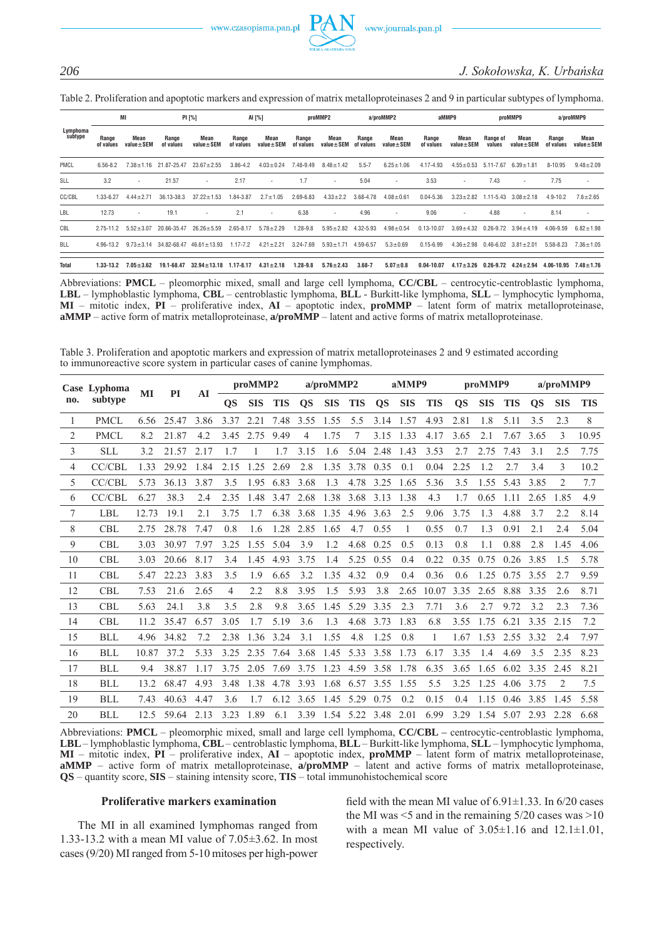## *206 J. Sokołowska, K. Urbańska*

Table 2. Proliferation and apoptotic markers and expression of matrix metalloproteinases 2 and 9 in particular subtypes of lymphoma.

| Lymphoma<br>subtype | MI                 |                         | PI [%]             |                                   | AI [%]             |                         |                    | proMMP2                 |                    | a/proMMP2               |                    | aMMP9                   |                    | proMMP9                       |                    | a/proMMP9                |  |
|---------------------|--------------------|-------------------------|--------------------|-----------------------------------|--------------------|-------------------------|--------------------|-------------------------|--------------------|-------------------------|--------------------|-------------------------|--------------------|-------------------------------|--------------------|--------------------------|--|
|                     | Range<br>of values | Mean<br>$value \pm SEM$ | Range<br>of values | Mean<br>$value \pm SEM$           | Range<br>of values | Mean<br>$value \pm SEM$ | Range<br>of values | Mean<br>$value \pm SEM$ | Range<br>of values | Mean<br>$value \pm SEM$ | Range<br>of values | Mean<br>$value \pm SEM$ | Range of<br>values | Mean<br>$value \pm SEM$       | Range<br>of values | Mean<br>$value \pm SEM$  |  |
| PMCL                | 6.56-8.2           | $7.38 + 1.16$           | 21.87-25.47        | $23.67 \pm 2.55$                  | $3.86 - 4.2$       | $4.03 \pm 0.24$         | 7.48-9.49          | $8.48 \pm 1.42$         | $5.5 - 7$          | $6.25 \pm 1.06$         | 4.17-4.93          | $4.55 \pm 0.53$         | 5.11-7.67          | $6.39 \pm 1.81$               | 8-10.95            | $9.48 \pm 2.09$          |  |
| SLL                 | 3.2                | ٠                       | 21.57              | ٠                                 | 2.17               |                         | 1.7                | ٠                       | 5.04               | ٠                       | 3.53               | ۰                       | 7.43               | <b>1999</b>                   | 7.75               | $\overline{\phantom{a}}$ |  |
| CC/CBL              | 1.33-6.27          | $4.44 + 2.71$           | 36.13-38.3         | $37.22 \pm 1.53$                  | 84-3.87            | $2.7 \pm 1.05$          | 2.69-6.83          | $4.33 \pm 2.2$          | 3.68-4.78          | $4.08 \pm 0.61$         | $0.04 - 5.36$      | $3.23 \pm 2.82$         | $1.11 - 5.43$      | $3.08 \pm 2.18$               | $4.9 - 10.2$       | $7.6 \pm 2.65$           |  |
| LBL                 | 12.73              | ٠                       | 19.1               | ٠                                 | 2.1                | ۰.                      | 6.38               | ٠                       | 4.96               | ۰                       | 9.06               | ٠                       | 4.88               | $\sim$                        | 8.14               |                          |  |
| CBL                 | $2.75 - 11.2$      | $5.52 \pm 3.07$         | 20.66-35.47        | $26.26 \pm 5.59$                  | 2.65-8.17          | $5.78 \pm 2.29$         | 1.28-9.8           | $5.95 \pm 2.82$         | 4.32-5.93          | $4.98 \pm 0.54$         | $0.13 - 10.07$     | $3.69 \pm 4.32$         |                    | $0.26 - 9.72$ $3.94 \pm 4.19$ | 4.06-9.59          | $6.82 \pm 1.98$          |  |
| <b>BLL</b>          | 4.96-13.2          | $9.73 \pm 3.14$         |                    | $34.82 - 68.47$ $46.61 \pm 13.93$ | $1.17 - 7.2$       | $4.21 \pm 2.21$         | 3.24-7.69          | $5.93 \pm 1.71$         | 4.59-6.57          | $5.3 \pm 0.69$          | $0.15 - 6.99$      | $4.36 \pm 2.98$         | $0.46 - 6.02$      | $3.81 \pm 2.01$               | 5.58-8.23          | $7.36 \pm 1.05$          |  |
| <b>Total</b>        | $1.33 - 13.2$      | $7.05 + 3.62$           | 19.1-68.47         | $32.94 \pm 13.18$                 | 1.17-8.17          | $4.31 \pm 2.18$         | $1.28 - 9.8$       | $5.76 \pm 2.43$         | $3.68 - 7$         | $5.07 \pm 0.8$          | 0.04-10.07         | $4.17 \pm 3.26$         |                    | $0.26 - 9.72$ $4.24 + 2.94$   | 4.06-10.95         | $7.48 \pm 1.76$          |  |

Abbreviations: **PMCL** – pleomorphic mixed, small and large cell lymphoma, **CC/CBL** – centrocytic-centroblastic lymphoma, **LBL** – lymphoblastic lymphoma, **CBL** – centroblastic lymphoma, **BLL** - Burkitt-like lymphoma, **SLL** – lymphocytic lymphoma, **MI** – mitotic index, **PI** – proliferative index, **AI** – apoptotic index, **proMMP** – latent form of matrix metalloproteinase, **aMMP** – active form of matrix metalloproteinase, **a/proMMP** – latent and active forms of matrix metalloproteinase.

Table 3. Proliferation and apoptotic markers and expression of matrix metalloproteinases 2 and 9 estimated according to immunoreactive score system in particular cases of canine lymphomas.

| Case Lyphoma<br>subtype<br>no. |               | MI    | <b>PI</b> | AI   | proMMP2   |            | $a/$ proMMP2 |                |                     | aMMP9      |           |            | proMMP9    |           |            | a/proMMP9  |           |                |            |
|--------------------------------|---------------|-------|-----------|------|-----------|------------|--------------|----------------|---------------------|------------|-----------|------------|------------|-----------|------------|------------|-----------|----------------|------------|
|                                |               |       |           |      | <b>QS</b> | <b>SIS</b> | <b>TIS</b>   | <b>OS</b>      | <b>SIS</b>          | <b>TIS</b> | <b>QS</b> | <b>SIS</b> | <b>TIS</b> | <b>QS</b> | <b>SIS</b> | <b>TIS</b> | <b>QS</b> | <b>SIS</b>     | <b>TIS</b> |
| -1                             | <b>PMCL</b>   | 6.56  | 25.47     | 3.86 | 3.37      | 2.21       | 7.48         | 3.55           | 1.55                | 5.5        | 3.14      | 1.57       | 4.93       | 2.81      | 1.8        | 5.11       | 3.5       | 2.3            | 8          |
| $\overline{2}$                 | <b>PMCL</b>   | 8.2   | 21.87     | 4.2  | 3.45      | 2.75       | 9.49         | $\overline{4}$ | 1.75                | 7          | 3.15      | 1.33       | 4.17       | 3.65      | 2.1        | 7.67       | 3.65      | 3              | 10.95      |
| 3                              | <b>SLL</b>    | 3.2   | 21.57     | 2.17 | 1.7       |            | 1.7          | 3.15           | 1.6                 | 5.04       | 2.48      | 1.43       | 3.53       | 2.7       | 2.75       | 7.43       | 3.1       | 2.5            | 7.75       |
| $\overline{4}$                 | <b>CC/CBL</b> | 1.33  | 29.92     | 1.84 | 2.15      | 1.25       | 2.69         | 2.8            | 1.35                | 3.78       | 0.35      | 0.1        | 0.04       | 2.25      | 1.2        | 2.7        | 3.4       | 3              | 10.2       |
| 5                              | <b>CC/CBL</b> | 5.73  | 36.13     | 3.87 | 3.5       | 1.95       | 6.83         | 3.68           | 1.3                 | 4.78       | 3.25      | 1.65       | 5.36       | 3.5       | 1.55       | 5.43       | 3.85      | 2              | 7.7        |
| 6                              | <b>CC/CBL</b> | 6.27  | 38.3      | 2.4  | 2.35      | 1.48       | 3.47         | 2.68           | 1.38                | 3.68       | 3.13      | 1.38       | 4.3        | 1.7       | 0.65       | 1.11       | 2.65      | 1.85           | 4.9        |
| 7                              | <b>LBL</b>    | 12.73 | 19.1      | 2.1  | 3.75      | 1.7        | 6.38         | 3.68           | 1.35                | 4.96       | 3.63      | 2.5        | 9.06       | 3.75      | 1.3        | 4.88       | 3.7       | 2.2            | 8.14       |
| 8                              | <b>CBL</b>    | 2.75  | 28.78     | 7.47 | 0.8       | 1.6        | 1.28         | 2.85           | 1.65                | 4.7        | 0.55      | 1          | 0.55       | 0.7       | 1.3        | 0.91       | 2.1       | 2.4            | 5.04       |
| 9                              | <b>CBL</b>    | 3.03  | 30.97     | 7.97 | 3.25      | 1.55       | 5.04         | 3.9            | 1.2                 | 4.68       | 0.25      | 0.5        | 0.13       | 0.8       | 1.1        | 0.88       | 2.8       | 1.45           | 4.06       |
| 10                             | <b>CBL</b>    | 3.03  | 20.66     | 8.17 | 3.4       | 1.45       | 4.93         | 3.75           | 1.4                 | 5.25       | 0.55      | 0.4        | 0.22       | 0.35      | 0.75       | 0.26       | 3.85      | 1.5            | 5.78       |
| 11                             | <b>CBL</b>    | 5.47  | 22.23     | 3.83 | 3.5       | 1.9        | 6.65         | 3.2            | 1.35                | 4.32       | 0.9       | 0.4        | 0.36       | 0.6       | 1.25       | 0.75       | 3.55      | 2.7            | 9.59       |
| 12                             | <b>CBL</b>    | 7.53  | 21.6      | 2.65 | 4         | 2.2        | 8.8          | 3.95           | 1.5                 | 5.93       | 3.8       | 2.65       | 10.07      | 3.35      | 2.65       | 8.88       | 3.35      | 2.6            | 8.71       |
| 13                             | <b>CBL</b>    | 5.63  | 24.1      | 3.8  | 3.5       | 2.8        | 9.8          | 3.65           | 1.45                | 5.29       | 3.35      | 2.3        | 7.71       | 3.6       | 2.7        | 9.72       | 3.2       | 2.3            | 7.36       |
| 14                             | <b>CBL</b>    | 11.2  | 35.47     | 6.57 | 3.05      | 1.7        | 5.19         | 3.6            | 1.3                 | 4.68       | 3.73      | 1.83       | 6.8        | 3.55      | 1.75       | 6.21       | 3.35      | 2.15           | 7.2        |
| 15                             | <b>BLL</b>    | 4.96  | 34.82     | 7.2  | 2.38      | 1.36       | 3.24         | 3.1            | 1.55                | 4.8        | 1.25      | 0.8        | 1          | 1.67      | 1.53       | 2.55       | 3.32      | 2.4            | 7.97       |
| 16                             | <b>BLL</b>    | 10.87 | 37.2      | 5.33 | 3.25      | 2.35       | 7.64         | 3.68           | 1.45                | 5.33       | 3.58      | 1.73       | 6.17       | 3.35      | 1.4        | 4.69       | 3.5       | 2.35           | 8.23       |
| 17                             | <b>BLL</b>    | 9.4   | 38.87     | 1.17 | 3.75      | 2.05       | 7.69         | 3.75           | 1.23                | 4.59       | 3.58      | 1.78       | 6.35       | 3.65      | 1.65       | 6.02       | 3.35      | 2.45           | 8.21       |
| 18                             | BLL           | 13.2  | 68.47     | 4.93 | 3.48      | 1.38       | 4.78         | 3.93           | 1.68                | 6.57       | 3.55      | 1.55       | 5.5        | 3.25      | 1.25       | 4.06       | 3.75      | $\mathfrak{D}$ | 7.5        |
| 19                             | <b>BLL</b>    | 7.43  | 40.63     | 4.47 | 3.6       | 1.7        | 6.12         | 3.65           | 1.45                | 5.29       | 0.75      | 0.2        | 0.15       | 0.4       | 1.15       | 0.46       | 3.85      | 1.45           | 5.58       |
| 20                             | <b>BLL</b>    | 12.5  | 59.64     | 2.13 | 3.23      | 1.89       | 6.1          |                | 3.39 1.54 5.22 3.48 |            |           | 2.01       | 6.99       | 3.29      |            | 1.54 5.07  | 2.93      | 2.28           | 6.68       |

Abbreviations: **PMCL** – pleomorphic mixed, small and large cell lymphoma, **CC/CBL** – centrocytic-centroblastic lymphoma, **LBL** – lymphoblastic lymphoma, **CBL** – centroblastic lymphoma, **BLL** – Burkitt-like lymphoma, **SLL** – lymphocytic lymphoma, **MI** – mitotic index, **PI** – proliferative index, **AI** – apoptotic index, **proMMP** – latent form of matrix metalloproteinase, **aMMP** – active form of matrix metalloproteinase, **a/proMMP** – latent and active forms of matrix metalloproteinase, **QS** – quantity score, **SIS** – staining intensity score, **TIS** – total immunohistochemical score

#### **Proliferative markers examination**

The MI in all examined lymphomas ranged from 1.33-13.2 with a mean MI value of 7.05±3.62. In most cases (9/20) MI ranged from 5-10 mitoses per high-power field with the mean MI value of  $6.91\pm1.33$ . In  $6/20$  cases the MI was  $\leq$  5 and in the remaining  $5/20$  cases was  $>10$ with a mean MI value of  $3.05 \pm 1.16$  and  $12.1 \pm 1.01$ , respectively.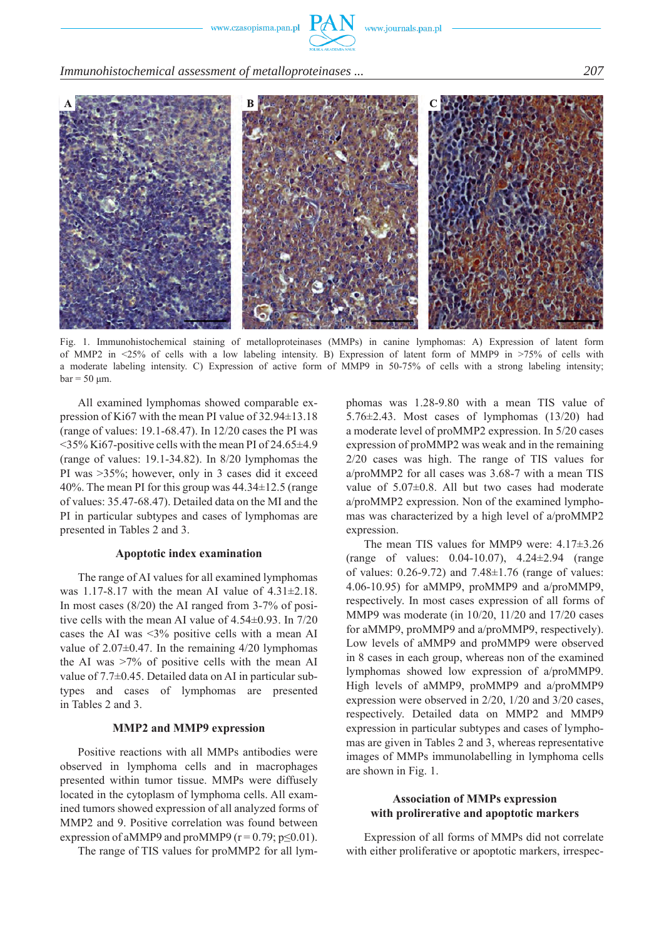

*Immunohistochemical assessment of metalloproteinases ... 207*



Fig. 1. Immunohistochemical staining of metalloproteinases (MMPs) in canine lymphomas: A) Expression of latent form of MMP2 in <25% of cells with a low labeling intensity. B) Expression of latent form of MMP9 in >75% of cells with a moderate labeling intensity. C) Expression of active form of MMP9 in 50-75% of cells with a strong labeling intensity;  $bar = 50 \text{ µm}$ .

All examined lymphomas showed comparable expression of Ki67 with the mean PI value of 32.94±13.18 (range of values: 19.1-68.47). In 12/20 cases the PI was <35% Ki67-positive cells with the mean PI of 24.65±4.9 (range of values: 19.1-34.82). In 8/20 lymphomas the PI was >35%; however, only in 3 cases did it exceed 40%. The mean PI for this group was 44.34±12.5 (range of values: 35.47-68.47). Detailed data on the MI and the PI in particular subtypes and cases of lymphomas are presented in Tables 2 and 3.

#### **Apoptotic index examination**

The range of AI values for all examined lymphomas was 1.17-8.17 with the mean AI value of  $4.31\pm2.18$ . In most cases (8/20) the AI ranged from 3-7% of positive cells with the mean AI value of 4.54±0.93. In 7/20 cases the AI was <3% positive cells with a mean AI value of  $2.07\pm0.47$ . In the remaining  $4/20$  lymphomas the AI was >7% of positive cells with the mean AI value of 7.7±0.45. Detailed data on AI in particular subtypes and cases of lymphomas are presented in Tables 2 and 3.

#### **MMP2 and MMP9 expression**

Positive reactions with all MMPs antibodies were observed in lymphoma cells and in macrophages presented within tumor tissue. MMPs were diffusely located in the cytoplasm of lymphoma cells. All examined tumors showed expression of all analyzed forms of MMP2 and 9. Positive correlation was found between expression of aMMP9 and proMMP9 ( $r = 0.79$ ;  $p \le 0.01$ ).

The range of TIS values for proMMP2 for all lym-

phomas was 1.28-9.80 with a mean TIS value of 5.76±2.43. Most cases of lymphomas (13/20) had a moderate level of proMMP2 expression. In 5/20 cases expression of proMMP2 was weak and in the remaining 2/20 cases was high. The range of TIS values for a/proMMP2 for all cases was 3.68-7 with a mean TIS value of 5.07±0.8. All but two cases had moderate a/proMMP2 expression. Non of the examined lymphomas was characterized by a high level of a/proMMP2 expression.

The mean TIS values for MMP9 were: 4.17±3.26 (range of values: 0.04-10.07), 4.24±2.94 (range of values:  $0.26 - 9.72$ ) and  $7.48 \pm 1.76$  (range of values: 4.06-10.95) for aMMP9, proMMP9 and a/proMMP9, respectively. In most cases expression of all forms of MMP9 was moderate (in 10/20, 11/20 and 17/20 cases for aMMP9, proMMP9 and a/proMMP9, respectively). Low levels of aMMP9 and proMMP9 were observed in 8 cases in each group, whereas non of the examined lymphomas showed low expression of a/proMMP9. High levels of aMMP9, proMMP9 and a/proMMP9 expression were observed in 2/20, 1/20 and 3/20 cases, respectively. Detailed data on MMP2 and MMP9 expression in particular subtypes and cases of lymphomas are given in Tables 2 and 3, whereas representative images of MMPs immunolabelling in lymphoma cells are shown in Fig. 1.

#### **Association of MMPs expression with prolirerative and apoptotic markers**

Expression of all forms of MMPs did not correlate with either proliferative or apoptotic markers, irrespec-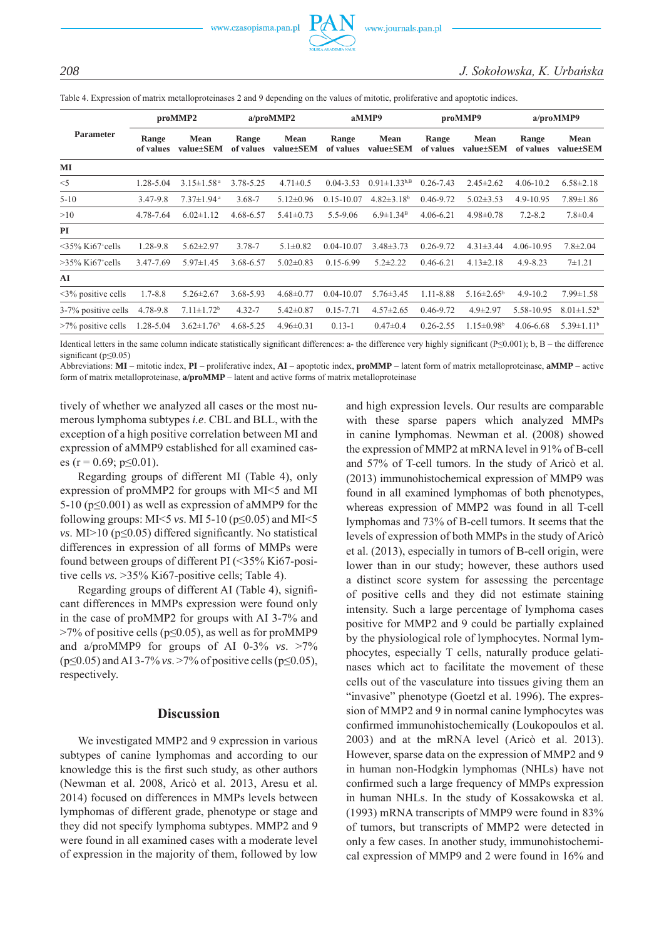

Table 4. Expression of matrix metalloproteinases 2 and 9 depending on the values of mitotic, proliferative and apoptotic indices.

| <b>Parameter</b>                |                    | proMMP2                      |                                                | a/proMMP2       |                    | aMMP9                        |                    | proMMP9                      | a/proMMP9          |                              |  |
|---------------------------------|--------------------|------------------------------|------------------------------------------------|-----------------|--------------------|------------------------------|--------------------|------------------------------|--------------------|------------------------------|--|
|                                 | Range<br>of values | <b>Mean</b><br>value±SEM     | <b>Mean</b><br>Range<br>value±SEM<br>of values |                 | Range<br>of values | <b>Mean</b><br>value±SEM     | Range<br>of values | <b>Mean</b><br>value±SEM     | Range<br>of values | <b>Mean</b><br>value±SEM     |  |
| MI                              |                    |                              |                                                |                 |                    |                              |                    |                              |                    |                              |  |
| $<$ 5                           | 1.28-5.04          | $3.15 \pm 1.58$ <sup>a</sup> | 3.78-5.25                                      | $4.71 \pm 0.5$  | $0.04 - 3.53$      | $0.91 \pm 1.33^{b,B}$        | $0.26 - 7.43$      | $2.45 \pm 2.62$              | $4.06 - 10.2$      | $6.58 \pm 2.18$              |  |
| $5 - 10$                        | 3.47-9.8           | $7.37 \pm 1.94$ <sup>a</sup> | 3.68-7                                         | $5.12 \pm 0.96$ | $0.15 - 10.07$     | $4.82 \pm 3.18$ <sup>b</sup> | 0.46-9.72          | $5.02 \pm 3.53$              | 4.9-10.95          | $7.89 \pm 1.86$              |  |
| >10                             | 4.78-7.64          | $6.02 \pm 1.12$              | 4.68-6.57                                      | $5.41 \pm 0.73$ | 5.5-9.06           | $6.9 \pm 1.34^B$             | $4.06 - 6.21$      | $4.98 \pm 0.78$              | $7.2 - 8.2$        | $7.8 \pm 0.4$                |  |
| <b>PI</b>                       |                    |                              |                                                |                 |                    |                              |                    |                              |                    |                              |  |
| $\leq$ 35% Ki67+cells           | 1.28-9.8           | $5.62 \pm 2.97$              | 3.78-7                                         | $5.1 \pm 0.82$  | $0.04 - 10.07$     | $3.48 \pm 3.73$              | $0.26 - 9.72$      | $4.31 \pm 3.44$              | 4.06-10.95         | $7.8 \pm 2.04$               |  |
| $>35\%$ Ki67 <sup>+</sup> cells | 3.47-7.69          | $5.97 \pm 1.45$              | 3.68-6.57                                      | $5.02 \pm 0.83$ | $0.15 - 6.99$      | $5.2 \pm 2.22$               | $0.46 - 6.21$      | $4.13 \pm 2.18$              | $4.9 - 8.23$       | $7+1.21$                     |  |
| AI                              |                    |                              |                                                |                 |                    |                              |                    |                              |                    |                              |  |
| $\leq$ 3% positive cells        | $1.7 - 8.8$        | $5.26 \pm 2.67$              | 3.68-5.93                                      | $4.68 \pm 0.77$ | $0.04 - 10.07$     | $5.76 \pm 3.45$              | 1.11-8.88          | $5.16 \pm 2.65^b$            | $4.9 - 10.2$       | $7.99 \pm 1.58$              |  |
| 3-7% positive cells             | 4.78-9.8           | $7.11 \pm 1.72$ <sup>b</sup> | $4.32 - 7$                                     | $5.42 \pm 0.87$ | $0.15 - 7.71$      | $4.57 \pm 2.65$              | 0.46-9.72          | $4.9 \pm 2.97$               | 5.58-10.95         | $8.01 \pm 1.52$ <sup>b</sup> |  |
| $>7\%$ positive cells           | 1.28-5.04          | $3.62 \pm 1.76$ <sup>b</sup> | 4.68-5.25                                      | $4.96 \pm 0.31$ | $0.13 - 1$         | $0.47 \pm 0.4$               | $0.26 - 2.55$      | $1.15 \pm 0.98$ <sup>b</sup> | 4.06-6.68          | $5.39 \pm 1.11$ <sup>b</sup> |  |

Identical letters in the same column indicate statistically significant differences: a- the difference very highly significant (P≤0.001); b, B – the difference significant (p<0.05)

Abbreviations: **MI** – mitotic index, **PI** – proliferative index, **AI** – apoptotic index, **proMMP** – latent form of matrix metalloproteinase, **aMMP** – active form of matrix metalloproteinase, **a/proMMP** – latent and active forms of matrix metalloproteinase

tively of whether we analyzed all cases or the most numerous lymphoma subtypes *i.e*. CBL and BLL, with the exception of a high positive correlation between MI and expression of aMMP9 established for all examined cases (r = 0.69; p $\leq$ 0.01).

Regarding groups of different MI (Table 4), only expression of proMMP2 for groups with MI<5 and MI 5-10 (p≤0.001) as well as expression of aMMP9 for the following groups:  $MI < 5$  *vs*. MI 5-10 ( $p \le 0.05$ ) and MI $< 5$ *vs*. MI>10 (p≤0.05) differed significantly. No statistical differences in expression of all forms of MMPs were found between groups of different PI (<35% Ki67-positive cells *vs.* >35% Ki67-positive cells; Table 4).

Regarding groups of different AI (Table 4), significant differences in MMPs expression were found only in the case of proMMP2 for groups with AI 3-7% and  $>7\%$  of positive cells (p $\leq$ 0.05), as well as for proMMP9 and a/proMMP9 for groups of AI 0-3% *vs*. >7% (p≤0.05) and AI 3-7% *vs*. >7% of positive cells (p≤0.05), respectively.

## **Discussion**

We investigated MMP2 and 9 expression in various subtypes of canine lymphomas and according to our knowledge this is the first such study, as other authors (Newman et al. 2008, Aricò et al. 2013, Aresu et al. 2014) focused on differences in MMPs levels between lymphomas of different grade, phenotype or stage and they did not specify lymphoma subtypes. MMP2 and 9 were found in all examined cases with a moderate level of expression in the majority of them, followed by low and high expression levels. Our results are comparable with these sparse papers which analyzed MMPs in canine lymphomas. Newman et al. (2008) showed the expression of MMP2 at mRNA level in 91% of B-cell and 57% of T-cell tumors. In the study of Aricò et al. (2013) immunohistochemical expression of MMP9 was found in all examined lymphomas of both phenotypes, whereas expression of MMP2 was found in all T-cell lymphomas and 73% of B-cell tumors. It seems that the levels of expression of both MMPs in the study of Aricò et al. (2013), especially in tumors of B-cell origin, were lower than in our study; however, these authors used a distinct score system for assessing the percentage of positive cells and they did not estimate staining intensity. Such a large percentage of lymphoma cases positive for MMP2 and 9 could be partially explained by the physiological role of lymphocytes. Normal lymphocytes, especially T cells, naturally produce gelatinases which act to facilitate the movement of these cells out of the vasculature into tissues giving them an "invasive" phenotype (Goetzl et al. 1996). The expression of MMP2 and 9 in normal canine lymphocytes was confirmed immunohistochemically (Loukopoulos et al. 2003) and at the mRNA level (Aricò et al. 2013). However, sparse data on the expression of MMP2 and 9 in human non-Hodgkin lymphomas (NHLs) have not confirmed such a large frequency of MMPs expression in human NHLs. In the study of Kossakowska et al. (1993) mRNA transcripts of MMP9 were found in 83% of tumors, but transcripts of MMP2 were detected in only a few cases. In another study, immunohistochemical expression of MMP9 and 2 were found in 16% and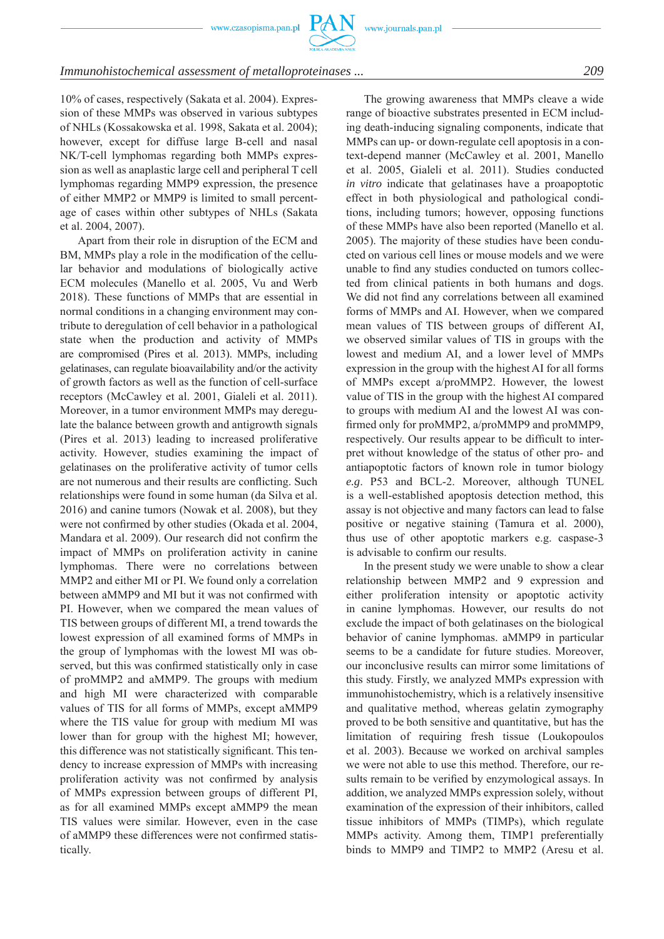

#### *Immunohistochemical assessment of metalloproteinases ... 209*

10% of cases, respectively (Sakata et al. 2004). Expression of these MMPs was observed in various subtypes of NHLs (Kossakowska et al. 1998, Sakata et al. 2004); however, except for diffuse large B-cell and nasal NK/T-cell lymphomas regarding both MMPs expression as well as anaplastic large cell and peripheral T cell lymphomas regarding MMP9 expression, the presence of either MMP2 or MMP9 is limited to small percentage of cases within other subtypes of NHLs (Sakata et al. 2004, 2007).

Apart from their role in disruption of the ECM and BM, MMPs play a role in the modification of the cellular behavior and modulations of biologically active ECM molecules (Manello et al. 2005, Vu and Werb 2018). These functions of MMPs that are essential in normal conditions in a changing environment may contribute to deregulation of cell behavior in a pathological state when the production and activity of MMPs are compromised (Pires et al. 2013). MMPs, including gelatinases, can regulate bioavailability and/or the activity of growth factors as well as the function of cell-surface receptors (McCawley et al. 2001, Gialeli et al. 2011). Moreover, in a tumor environment MMPs may deregulate the balance between growth and antigrowth signals (Pires et al. 2013) leading to increased proliferative activity. However, studies examining the impact of gelatinases on the proliferative activity of tumor cells are not numerous and their results are conflicting. Such relationships were found in some human (da Silva et al. 2016) and canine tumors (Nowak et al. 2008), but they were not confirmed by other studies (Okada et al. 2004, Mandara et al. 2009). Our research did not confirm the impact of MMPs on proliferation activity in canine lymphomas. There were no correlations between MMP2 and either MI or PI. We found only a correlation between aMMP9 and MI but it was not confirmed with PI. However, when we compared the mean values of TIS between groups of different MI, a trend towards the lowest expression of all examined forms of MMPs in the group of lymphomas with the lowest MI was observed, but this was confirmed statistically only in case of proMMP2 and aMMP9. The groups with medium and high MI were characterized with comparable values of TIS for all forms of MMPs, except aMMP9 where the TIS value for group with medium MI was lower than for group with the highest MI; however, this difference was not statistically significant. This tendency to increase expression of MMPs with increasing proliferation activity was not confirmed by analysis of MMPs expression between groups of different PI, as for all examined MMPs except aMMP9 the mean TIS values were similar. However, even in the case of aMMP9 these differences were not confirmed statistically.

The growing awareness that MMPs cleave a wide range of bioactive substrates presented in ECM including death-inducing signaling components, indicate that MMPs can up- or down-regulate cell apoptosis in a context-depend manner (McCawley et al. 2001, Manello et al. 2005, Gialeli et al. 2011). Studies conducted *in vitro* indicate that gelatinases have a proapoptotic effect in both physiological and pathological conditions, including tumors; however, opposing functions of these MMPs have also been reported (Manello et al. 2005). The majority of these studies have been conducted on various cell lines or mouse models and we were unable to find any studies conducted on tumors collected from clinical patients in both humans and dogs. We did not find any correlations between all examined forms of MMPs and AI. However, when we compared mean values of TIS between groups of different AI, we observed similar values of TIS in groups with the lowest and medium AI, and a lower level of MMPs expression in the group with the highest AI for all forms of MMPs except a/proMMP2. However, the lowest value of TIS in the group with the highest AI compared to groups with medium AI and the lowest AI was confirmed only for proMMP2, a/proMMP9 and proMMP9, respectively. Our results appear to be difficult to interpret without knowledge of the status of other pro- and antiapoptotic factors of known role in tumor biology *e.g*. P53 and BCL-2. Moreover, although TUNEL is a well-established apoptosis detection method, this assay is not objective and many factors can lead to false positive or negative staining (Tamura et al. 2000), thus use of other apoptotic markers e.g. caspase-3 is advisable to confirm our results.

In the present study we were unable to show a clear relationship between MMP2 and 9 expression and either proliferation intensity or apoptotic activity in canine lymphomas. However, our results do not exclude the impact of both gelatinases on the biological behavior of canine lymphomas. aMMP9 in particular seems to be a candidate for future studies. Moreover, our inconclusive results can mirror some limitations of this study. Firstly, we analyzed MMPs expression with immunohistochemistry, which is a relatively insensitive and qualitative method, whereas gelatin zymography proved to be both sensitive and quantitative, but has the limitation of requiring fresh tissue (Loukopoulos et al. 2003). Because we worked on archival samples we were not able to use this method. Therefore, our results remain to be verified by enzymological assays. In addition, we analyzed MMPs expression solely, without examination of the expression of their inhibitors, called tissue inhibitors of MMPs (TIMPs), which regulate MMPs activity. Among them, TIMP1 preferentially binds to MMP9 and TIMP2 to MMP2 (Aresu et al.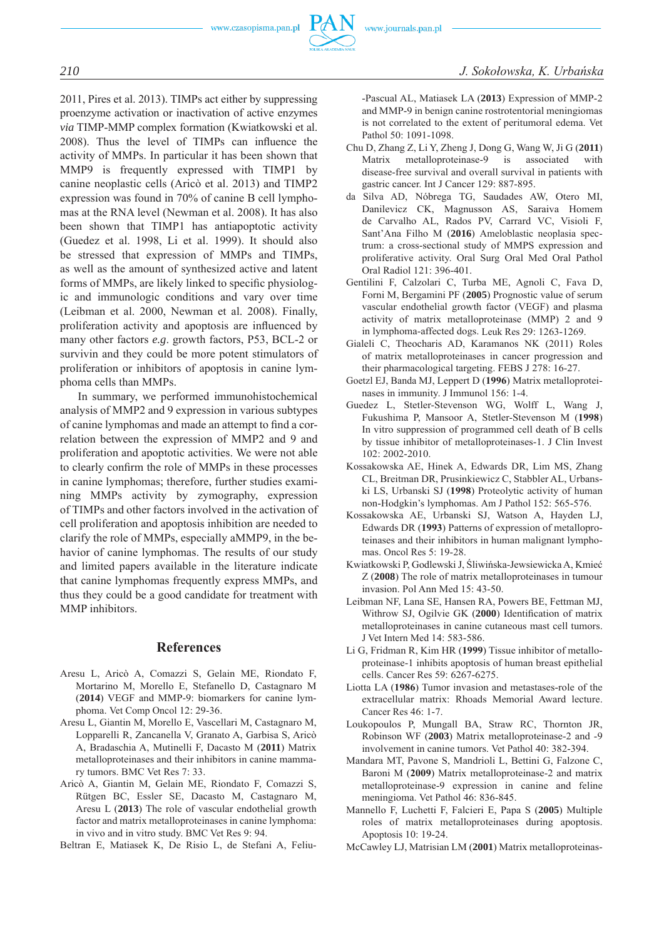

2011, Pires et al. 2013). TIMPs act either by suppressing proenzyme activation or inactivation of active enzymes *via* TIMP-MMP complex formation (Kwiatkowski et al. 2008). Thus the level of TIMPs can influence the activity of MMPs. In particular it has been shown that MMP9 is frequently expressed with TIMP1 by canine neoplastic cells (Aricò et al. 2013) and TIMP2 expression was found in 70% of canine B cell lymphomas at the RNA level (Newman et al. 2008). It has also been shown that TIMP1 has antiapoptotic activity (Guedez et al. 1998, Li et al. 1999). It should also be stressed that expression of MMPs and TIMPs, as well as the amount of synthesized active and latent forms of MMPs, are likely linked to specific physiologic and immunologic conditions and vary over time (Leibman et al. 2000, Newman et al. 2008). Finally, proliferation activity and apoptosis are influenced by many other factors *e.g*. growth factors, P53, BCL-2 or survivin and they could be more potent stimulators of proliferation or inhibitors of apoptosis in canine lymphoma cells than MMPs.

In summary, we performed immunohistochemical analysis of MMP2 and 9 expression in various subtypes of canine lymphomas and made an attempt to find a correlation between the expression of MMP2 and 9 and proliferation and apoptotic activities. We were not able to clearly confirm the role of MMPs in these processes in canine lymphomas; therefore, further studies examining MMPs activity by zymography, expression of TIMPs and other factors involved in the activation of cell proliferation and apoptosis inhibition are needed to clarify the role of MMPs, especially aMMP9, in the behavior of canine lymphomas. The results of our study and limited papers available in the literature indicate that canine lymphomas frequently express MMPs, and thus they could be a good candidate for treatment with MMP inhibitors.

## **References**

- Aresu L, Aricò A, Comazzi S, Gelain ME, Riondato F, Mortarino M, Morello E, Stefanello D, Castagnaro M (**2014**) VEGF and MMP-9: biomarkers for canine lymphoma. Vet Comp Oncol 12: 29-36.
- Aresu L, Giantin M, Morello E, Vascellari M, Castagnaro M, Lopparelli R, Zancanella V, Granato A, Garbisa S, Aricò A, Bradaschia A, Mutinelli F, Dacasto M (**2011**) Matrix metalloproteinases and their inhibitors in canine mammary tumors. BMC Vet Res 7: 33.
- Aricò A, Giantin M, Gelain ME, Riondato F, Comazzi S, Rütgen BC, Essler SE, Dacasto M, Castagnaro M, Aresu L (**2013**) The role of vascular endothelial growth factor and matrix metalloproteinases in canine lymphoma: in vivo and in vitro study. BMC Vet Res 9: 94.

Beltran E, Matiasek K, De Risio L, de Stefani A, Feliu-

-Pascual AL, Matiasek LA (**2013**) Expression of MMP-2 and MMP-9 in benign canine rostrotentorial meningiomas is not correlated to the extent of peritumoral edema. Vet Pathol 50: 1091-1098.

- Chu D, Zhang Z, Li Y, Zheng J, Dong G, Wang W, Ji G (**2011**) Matrix metalloproteinase-9 is associated with disease-free survival and overall survival in patients with gastric cancer. Int J Cancer 129: 887-895.
- da Silva AD, Nóbrega TG, Saudades AW, Otero MI, Danilevicz CK, Magnusson AS, Saraiva Homem de Carvalho AL, Rados PV, Carrard VC, Visioli F, Sant'Ana Filho M (**2016**) Ameloblastic neoplasia spectrum: a cross-sectional study of MMPS expression and proliferative activity. Oral Surg Oral Med Oral Pathol Oral Radiol 121: 396-401.
- Gentilini F, Calzolari C, Turba ME, Agnoli C, Fava D, Forni M, Bergamini PF (**2005**) Prognostic value of serum vascular endothelial growth factor (VEGF) and plasma activity of matrix metalloproteinase (MMP) 2 and 9 in lymphoma-affected dogs. Leuk Res 29: 1263-1269.
- Gialeli C, Theocharis AD, Karamanos NK (2011) Roles of matrix metalloproteinases in cancer progression and their pharmacological targeting. FEBS J 278: 16-27.
- Goetzl EJ, Banda MJ, Leppert D (**1996**) Matrix metalloproteinases in immunity. J Immunol 156: 1-4.
- Guedez L, Stetler-Stevenson WG, Wolff L, Wang J, Fukushima P, Mansoor A, Stetler-Stevenson M (**1998**) In vitro suppression of programmed cell death of B cells by tissue inhibitor of metalloproteinases-1. J Clin Invest 102: 2002-2010.
- Kossakowska AE, Hinek A, Edwards DR, Lim MS, Zhang CL, Breitman DR, Prusinkiewicz C, Stabbler AL, Urbanski LS, Urbanski SJ (**1998**) Proteolytic activity of human non-Hodgkin's lymphomas. Am J Pathol 152: 565-576.
- Kossakowska AE, Urbanski SJ, Watson A, Hayden LJ, Edwards DR (**1993**) Patterns of expression of metalloproteinases and their inhibitors in human malignant lymphomas. Oncol Res 5: 19-28.
- Kwiatkowski P, Godlewski J, Śliwińska-Jewsiewicka A, Kmieć Z (**2008**) The role of matrix metalloproteinases in tumour invasion. Pol Ann Med 15: 43-50.
- Leibman NF, Lana SE, Hansen RA, Powers BE, Fettman MJ, Withrow SJ, Ogilvie GK (**2000**) Identification of matrix metalloproteinases in canine cutaneous mast cell tumors. J Vet Intern Med 14: 583-586.
- Li G, Fridman R, Kim HR (**1999**) Tissue inhibitor of metalloproteinase-1 inhibits apoptosis of human breast epithelial cells. Cancer Res 59: 6267-6275.
- Liotta LA (**1986**) Tumor invasion and metastases-role of the extracellular matrix: Rhoads Memorial Award lecture. Cancer Res 46: 1-7.
- Loukopoulos P, Mungall BA, Straw RC, Thornton JR, Robinson WF (**2003**) Matrix metalloproteinase-2 and -9 involvement in canine tumors. Vet Pathol 40: 382-394.
- Mandara MT, Pavone S, Mandrioli L, Bettini G, Falzone C, Baroni M (**2009**) Matrix metalloproteinase-2 and matrix metalloproteinase-9 expression in canine and feline meningioma. Vet Pathol 46: 836-845.
- Mannello F, Luchetti F, Falcieri E, Papa S (**2005**) Multiple roles of matrix metalloproteinases during apoptosis. Apoptosis 10: 19-24.
- McCawley LJ, Matrisian LM (**2001**) Matrix metalloproteinas-